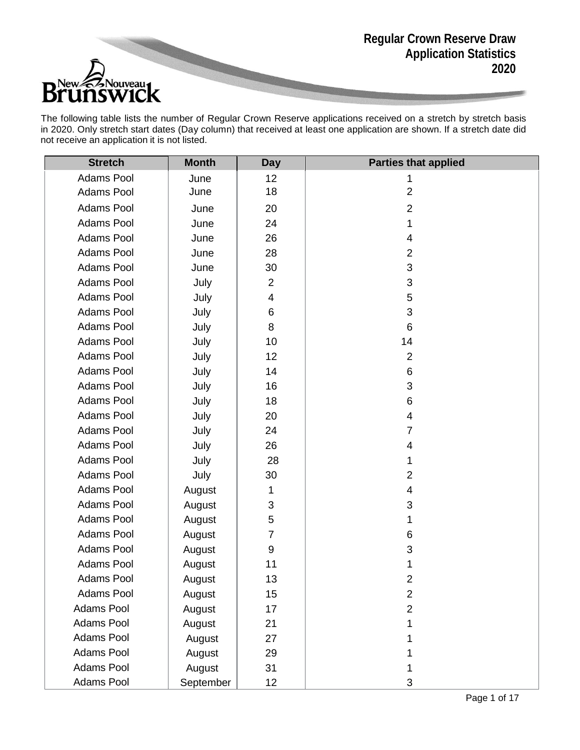**Regular Crown Reserve Draw Application Statistics 2020**



The following table lists the number of Regular Crown Reserve applications received on a stretch by stretch basis in 2020. Only stretch start dates (Day column) that received at least one application are shown. If a stretch date did not receive an application it is not listed.

| <b>Stretch</b>    | <b>Month</b> | <b>Day</b>              | <b>Parties that applied</b> |
|-------------------|--------------|-------------------------|-----------------------------|
| Adams Pool        | June         | 12                      | 1                           |
| Adams Pool        | June         | 18                      | $\overline{2}$              |
| Adams Pool        | June         | 20                      | $\overline{2}$              |
| <b>Adams Pool</b> | June         | 24                      | 1                           |
| Adams Pool        | June         | 26                      | 4                           |
| Adams Pool        | June         | 28                      | $\overline{2}$              |
| <b>Adams Pool</b> | June         | 30                      | 3                           |
| Adams Pool        | July         | $\overline{2}$          | 3                           |
| <b>Adams Pool</b> | July         | $\overline{\mathbf{4}}$ | 5                           |
| Adams Pool        | July         | 6                       | 3                           |
| Adams Pool        | July         | 8                       | $6\phantom{1}$              |
| Adams Pool        | July         | 10                      | 14                          |
| Adams Pool        | July         | 12                      | $\overline{2}$              |
| <b>Adams Pool</b> | July         | 14                      | 6                           |
| Adams Pool        | July         | 16                      | 3                           |
| <b>Adams Pool</b> | July         | 18                      | 6                           |
| Adams Pool        | July         | 20                      | 4                           |
| <b>Adams Pool</b> | July         | 24                      | $\overline{7}$              |
| <b>Adams Pool</b> | July         | 26                      | 4                           |
| <b>Adams Pool</b> | July         | 28                      | 1                           |
| Adams Pool        | July         | 30                      | $\overline{2}$              |
| <b>Adams Pool</b> | August       | 1                       | $\overline{4}$              |
| Adams Pool        | August       | 3                       | 3                           |
| <b>Adams Pool</b> | August       | 5                       | 1                           |
| Adams Pool        | August       | $\overline{7}$          | 6                           |
| <b>Adams Pool</b> | August       | $\boldsymbol{9}$        | 3                           |
| <b>Adams Pool</b> | August       | 11                      |                             |
| Adams Pool        | August       | 13                      | $\overline{c}$              |
| <b>Adams Pool</b> | August       | 15                      | $\overline{2}$              |
| Adams Pool        | August       | 17                      | $\overline{2}$              |
| Adams Pool        | August       | 21                      | 1                           |
| Adams Pool        | August       | 27                      |                             |
| Adams Pool        | August       | 29                      |                             |
| <b>Adams Pool</b> | August       | 31                      |                             |
| Adams Pool        | September    | 12                      | 3                           |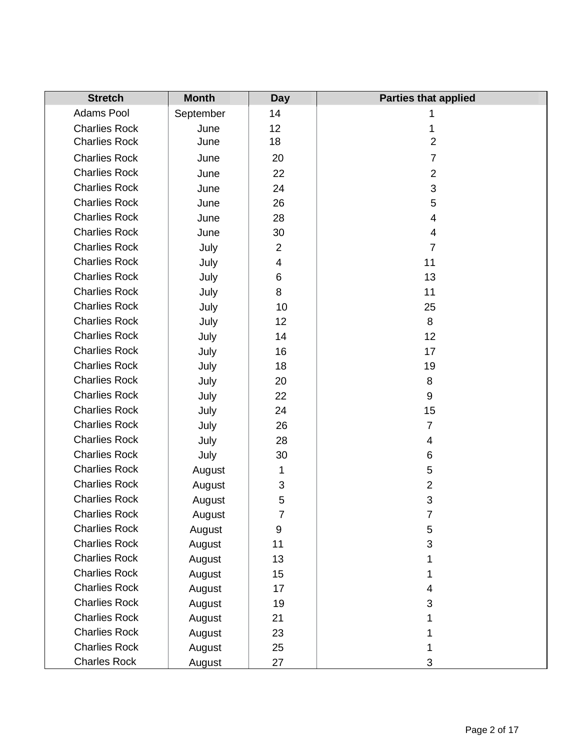| <b>Stretch</b>       | <b>Month</b> | <b>Day</b>     | <b>Parties that applied</b> |
|----------------------|--------------|----------------|-----------------------------|
| Adams Pool           | September    | 14             |                             |
| <b>Charlies Rock</b> | June         | 12             | 1                           |
| <b>Charlies Rock</b> | June         | 18             | $\overline{2}$              |
| <b>Charlies Rock</b> | June         | 20             | $\overline{7}$              |
| <b>Charlies Rock</b> | June         | 22             | $\overline{2}$              |
| <b>Charlies Rock</b> | June         | 24             | 3                           |
| <b>Charlies Rock</b> | June         | 26             | 5                           |
| <b>Charlies Rock</b> | June         | 28             | $\overline{\mathbf{4}}$     |
| <b>Charlies Rock</b> | June         | 30             | $\overline{\mathbf{4}}$     |
| <b>Charlies Rock</b> | July         | $\overline{2}$ | $\overline{7}$              |
| <b>Charlies Rock</b> | July         | 4              | 11                          |
| <b>Charlies Rock</b> | July         | 6              | 13                          |
| <b>Charlies Rock</b> | July         | 8              | 11                          |
| <b>Charlies Rock</b> | July         | 10             | 25                          |
| <b>Charlies Rock</b> | July         | 12             | 8                           |
| <b>Charlies Rock</b> | July         | 14             | 12                          |
| <b>Charlies Rock</b> | July         | 16             | 17                          |
| <b>Charlies Rock</b> | July         | 18             | 19                          |
| <b>Charlies Rock</b> | July         | 20             | 8                           |
| <b>Charlies Rock</b> | July         | 22             | $\boldsymbol{9}$            |
| <b>Charlies Rock</b> | July         | 24             | 15                          |
| <b>Charlies Rock</b> | July         | 26             | $\overline{7}$              |
| <b>Charlies Rock</b> | July         | 28             | 4                           |
| <b>Charlies Rock</b> | July         | 30             | 6                           |
| <b>Charlies Rock</b> | August       | 1              | 5                           |
| <b>Charlies Rock</b> | August       | 3              | $\overline{2}$              |
| <b>Charlies Rock</b> | August       | 5              | 3                           |
| <b>Charlies Rock</b> | August       | $\overline{7}$ | $\overline{7}$              |
| <b>Charlies Rock</b> | August       | 9              | 5                           |
| <b>Charlies Rock</b> | August       | 11             | 3                           |
| <b>Charlies Rock</b> | August       | 13             | 1                           |
| <b>Charlies Rock</b> | August       | 15             | 1                           |
| <b>Charlies Rock</b> | August       | 17             | 4                           |
| <b>Charlies Rock</b> | August       | 19             | 3                           |
| <b>Charlies Rock</b> | August       | 21             | 1                           |
| <b>Charlies Rock</b> | August       | 23             |                             |
| <b>Charlies Rock</b> | August       | 25             | 1                           |
| <b>Charles Rock</b>  | August       | 27             | 3                           |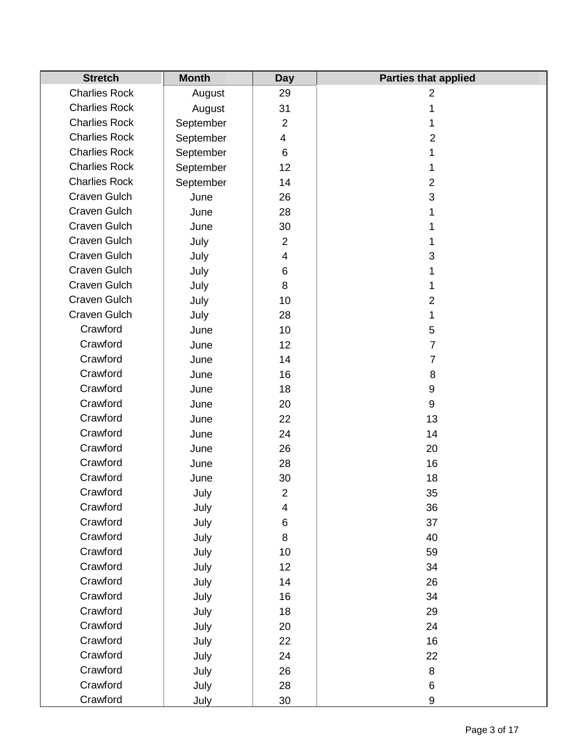| <b>Stretch</b>       | <b>Month</b> | <b>Day</b>     | <b>Parties that applied</b> |
|----------------------|--------------|----------------|-----------------------------|
| <b>Charlies Rock</b> | August       | 29             | $\overline{2}$              |
| <b>Charlies Rock</b> | August       | 31             | 1                           |
| <b>Charlies Rock</b> | September    | $\overline{2}$ | 1                           |
| <b>Charlies Rock</b> | September    | 4              | $\overline{2}$              |
| <b>Charlies Rock</b> | September    | 6              | 1                           |
| <b>Charlies Rock</b> | September    | 12             | 1                           |
| <b>Charlies Rock</b> | September    | 14             | $\overline{2}$              |
| <b>Craven Gulch</b>  | June         | 26             | 3                           |
| Craven Gulch         | June         | 28             | 1                           |
| Craven Gulch         | June         | 30             | 1                           |
| Craven Gulch         | July         | $\overline{2}$ | 1                           |
| Craven Gulch         | July         | 4              | 3                           |
| Craven Gulch         | July         | 6              | 1                           |
| Craven Gulch         | July         | 8              | 1                           |
| <b>Craven Gulch</b>  | July         | 10             | $\overline{2}$              |
| Craven Gulch         | July         | 28             | 1                           |
| Crawford             | June         | 10             | 5                           |
| Crawford             | June         | 12             | 7                           |
| Crawford             | June         | 14             | 7                           |
| Crawford             | June         | 16             | 8                           |
| Crawford             | June         | 18             | $\boldsymbol{9}$            |
| Crawford             | June         | 20             | $\boldsymbol{9}$            |
| Crawford             | June         | 22             | 13                          |
| Crawford             | June         | 24             | 14                          |
| Crawford             | June         | 26             | 20                          |
| Crawford             | June         | 28             | 16                          |
| Crawford             | June         | 30             | 18                          |
| Crawford             | July         | $\overline{2}$ | 35                          |
| Crawford             | July         | 4              | 36                          |
| Crawford             | July         | 6              | 37                          |
| Crawford             | July         | 8              | 40                          |
| Crawford             | July         | 10             | 59                          |
| Crawford             | July         | 12             | 34                          |
| Crawford             | July         | 14             | 26                          |
| Crawford             | July         | 16             | 34                          |
| Crawford             | July         | 18             | 29                          |
| Crawford             | July         | 20             | 24                          |
| Crawford             | July         | 22             | 16                          |
| Crawford             | July         | 24             | 22                          |
| Crawford             | July         | 26             | 8                           |
| Crawford             | July         | 28             | 6                           |
| Crawford             | July         | $30\,$         | $\boldsymbol{9}$            |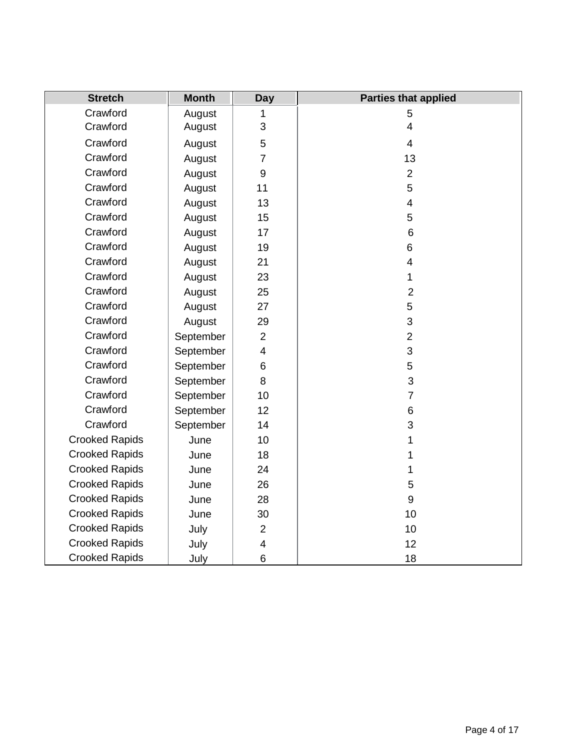| <b>Stretch</b>        | <b>Month</b> | <b>Day</b>       | <b>Parties that applied</b> |
|-----------------------|--------------|------------------|-----------------------------|
| Crawford              | August       | 1                | 5                           |
| Crawford              | August       | 3                | $\overline{\mathbf{4}}$     |
| Crawford              | August       | 5                | $\overline{4}$              |
| Crawford              | August       | $\overline{7}$   | 13                          |
| Crawford              | August       | $\boldsymbol{9}$ | $\overline{2}$              |
| Crawford              | August       | 11               | 5                           |
| Crawford              | August       | 13               | $\overline{\mathbf{4}}$     |
| Crawford              | August       | 15               | 5                           |
| Crawford              | August       | 17               | 6                           |
| Crawford              | August       | 19               | 6                           |
| Crawford              | August       | 21               | $\overline{4}$              |
| Crawford              | August       | 23               | 1                           |
| Crawford              | August       | 25               | $\overline{2}$              |
| Crawford              | August       | 27               | 5                           |
| Crawford              | August       | 29               | 3                           |
| Crawford              | September    | $\overline{2}$   | $\overline{2}$              |
| Crawford              | September    | 4                | 3                           |
| Crawford              | September    | 6                | 5                           |
| Crawford              | September    | 8                | 3                           |
| Crawford              | September    | 10               | $\overline{7}$              |
| Crawford              | September    | 12               | $6\phantom{1}$              |
| Crawford              | September    | 14               | 3                           |
| <b>Crooked Rapids</b> | June         | 10               | 1                           |
| <b>Crooked Rapids</b> | June         | 18               | 1                           |
| <b>Crooked Rapids</b> | June         | 24               | 1                           |
| <b>Crooked Rapids</b> | June         | 26               | 5                           |
| <b>Crooked Rapids</b> | June         | 28               | 9                           |
| <b>Crooked Rapids</b> | June         | 30               | 10                          |
| <b>Crooked Rapids</b> | July         | $\overline{2}$   | 10                          |
| <b>Crooked Rapids</b> | July         | 4                | 12                          |
| <b>Crooked Rapids</b> | July         | 6                | 18                          |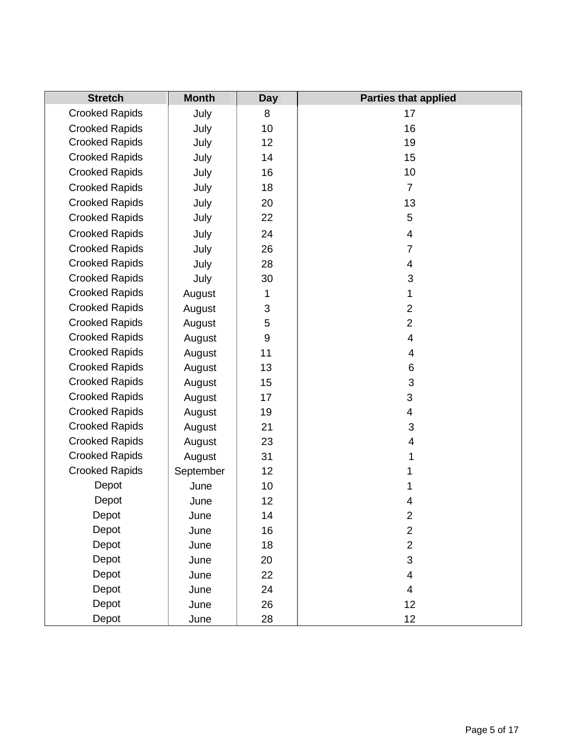| <b>Stretch</b>        | <b>Month</b> | <b>Day</b>       | <b>Parties that applied</b> |
|-----------------------|--------------|------------------|-----------------------------|
| <b>Crooked Rapids</b> | July         | 8                | 17                          |
| <b>Crooked Rapids</b> | July         | 10               | 16                          |
| <b>Crooked Rapids</b> | July         | 12               | 19                          |
| <b>Crooked Rapids</b> | July         | 14               | 15                          |
| <b>Crooked Rapids</b> | July         | 16               | 10                          |
| <b>Crooked Rapids</b> | July         | 18               | $\overline{7}$              |
| <b>Crooked Rapids</b> | July         | 20               | 13                          |
| <b>Crooked Rapids</b> | July         | 22               | $\sqrt{5}$                  |
| <b>Crooked Rapids</b> | July         | 24               | 4                           |
| <b>Crooked Rapids</b> | July         | 26               | $\overline{7}$              |
| <b>Crooked Rapids</b> | July         | 28               | 4                           |
| <b>Crooked Rapids</b> | July         | 30               | 3                           |
| <b>Crooked Rapids</b> | August       | 1                | 1                           |
| <b>Crooked Rapids</b> | August       | 3                | $\overline{2}$              |
| <b>Crooked Rapids</b> | August       | 5                | $\overline{2}$              |
| <b>Crooked Rapids</b> | August       | $\boldsymbol{9}$ | 4                           |
| <b>Crooked Rapids</b> | August       | 11               | 4                           |
| <b>Crooked Rapids</b> | August       | 13               | 6                           |
| <b>Crooked Rapids</b> | August       | 15               | 3                           |
| <b>Crooked Rapids</b> | August       | 17               | 3                           |
| <b>Crooked Rapids</b> | August       | 19               | 4                           |
| <b>Crooked Rapids</b> | August       | 21               | $\mathfrak{S}$              |
| <b>Crooked Rapids</b> | August       | 23               | 4                           |
| <b>Crooked Rapids</b> | August       | 31               | 1                           |
| <b>Crooked Rapids</b> | September    | 12               | 1                           |
| Depot                 | June         | 10               | 1                           |
| Depot                 | June         | 12               | 4                           |
| Depot                 | June         | 14               | 2                           |
| Depot                 | June         | 16               | $\overline{2}$              |
| Depot                 | June         | 18               | $\overline{2}$              |
| Depot                 | June         | 20               | 3                           |
| Depot                 | June         | 22               | 4                           |
| Depot                 | June         | 24               | 4                           |
| Depot                 | June         | 26               | 12                          |
| Depot                 | June         | 28               | 12                          |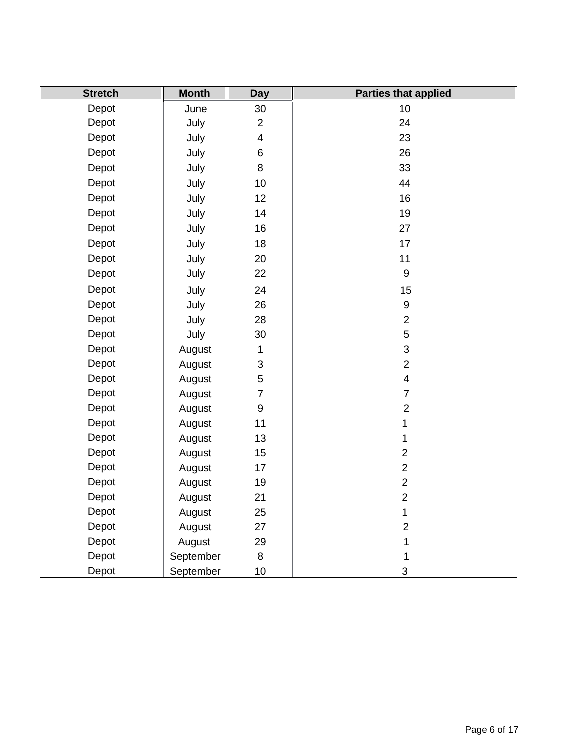| <b>Stretch</b> | <b>Month</b> | <b>Day</b>              | <b>Parties that applied</b> |
|----------------|--------------|-------------------------|-----------------------------|
| Depot          | June         | 30                      | 10                          |
| Depot          | July         | $\overline{2}$          | 24                          |
| Depot          | July         | $\overline{\mathbf{4}}$ | 23                          |
| Depot          | July         | 6                       | 26                          |
| Depot          | July         | 8                       | 33                          |
| Depot          | July         | 10                      | 44                          |
| Depot          | July         | 12                      | 16                          |
| Depot          | July         | 14                      | 19                          |
| Depot          | July         | 16                      | 27                          |
| Depot          | July         | 18                      | 17                          |
| Depot          | July         | 20                      | 11                          |
| Depot          | July         | 22                      | 9                           |
| Depot          | July         | 24                      | 15                          |
| Depot          | July         | 26                      | $\boldsymbol{9}$            |
| Depot          | July         | 28                      | $\overline{2}$              |
| Depot          | July         | 30                      | 5                           |
| Depot          | August       | $\mathbf{1}$            | 3                           |
| Depot          | August       | 3                       | $\overline{2}$              |
| Depot          | August       | 5                       | $\overline{\mathbf{4}}$     |
| Depot          | August       | $\overline{7}$          | $\overline{7}$              |
| Depot          | August       | 9                       | $\overline{c}$              |
| Depot          | August       | 11                      | $\mathbf{1}$                |
| Depot          | August       | 13                      | 1                           |
| Depot          | August       | 15                      | $\overline{2}$              |
| Depot          | August       | 17                      | $\overline{2}$              |
| Depot          | August       | 19                      | $\overline{2}$              |
| Depot          | August       | 21                      | $\overline{2}$              |
| Depot          | August       | 25                      | $\mathbf{1}$                |
| Depot          | August       | 27                      | $\overline{2}$              |
| Depot          | August       | 29                      | 1                           |
| Depot          | September    | 8                       | 1                           |
| Depot          | September    | 10                      | 3                           |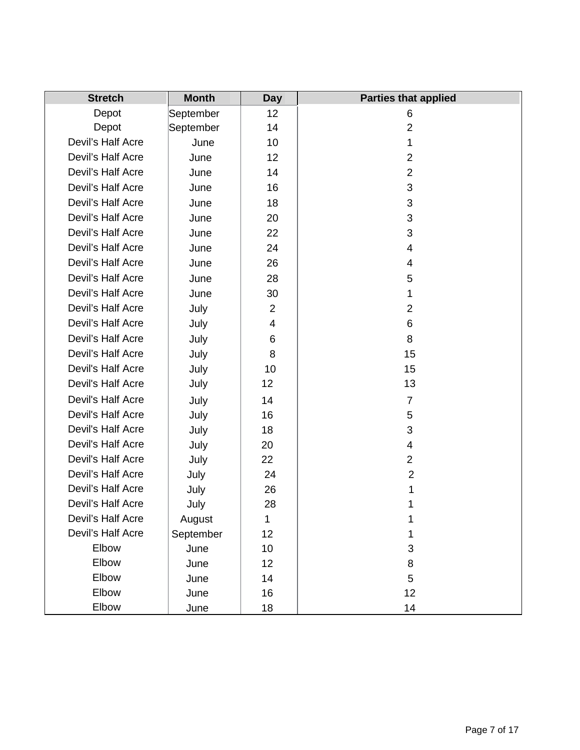| <b>Stretch</b>    | <b>Month</b> | <b>Day</b>     | <b>Parties that applied</b> |
|-------------------|--------------|----------------|-----------------------------|
| Depot             | September    | 12             | 6                           |
| Depot             | September    | 14             | $\overline{2}$              |
| Devil's Half Acre | June         | 10             | 1                           |
| Devil's Half Acre | June         | 12             | $\overline{2}$              |
| Devil's Half Acre | June         | 14             | $\overline{2}$              |
| Devil's Half Acre | June         | 16             | 3                           |
| Devil's Half Acre | June         | 18             | 3                           |
| Devil's Half Acre | June         | 20             | 3                           |
| Devil's Half Acre | June         | 22             | 3                           |
| Devil's Half Acre | June         | 24             | 4                           |
| Devil's Half Acre | June         | 26             | 4                           |
| Devil's Half Acre | June         | 28             | 5                           |
| Devil's Half Acre | June         | 30             | 1                           |
| Devil's Half Acre | July         | $\overline{2}$ | $\overline{2}$              |
| Devil's Half Acre | July         | 4              | 6                           |
| Devil's Half Acre | July         | 6              | 8                           |
| Devil's Half Acre | July         | 8              | 15                          |
| Devil's Half Acre | July         | 10             | 15                          |
| Devil's Half Acre | July         | 12             | 13                          |
| Devil's Half Acre | July         | 14             | $\overline{7}$              |
| Devil's Half Acre | July         | 16             | 5                           |
| Devil's Half Acre | July         | 18             | 3                           |
| Devil's Half Acre | July         | 20             | 4                           |
| Devil's Half Acre | July         | 22             | $\overline{2}$              |
| Devil's Half Acre | July         | 24             | $\overline{2}$              |
| Devil's Half Acre | July         | 26             | 1                           |
| Devil's Half Acre | July         | 28             | 1                           |
| Devil's Half Acre | August       | 1              | 1                           |
| Devil's Half Acre | September    | 12             |                             |
| Elbow             | June         | 10             | 3                           |
| Elbow             | June         | 12             | 8                           |
| Elbow             | June         | 14             | 5                           |
| Elbow             | June         | 16             | 12                          |
| Elbow             | June         | 18             | 14                          |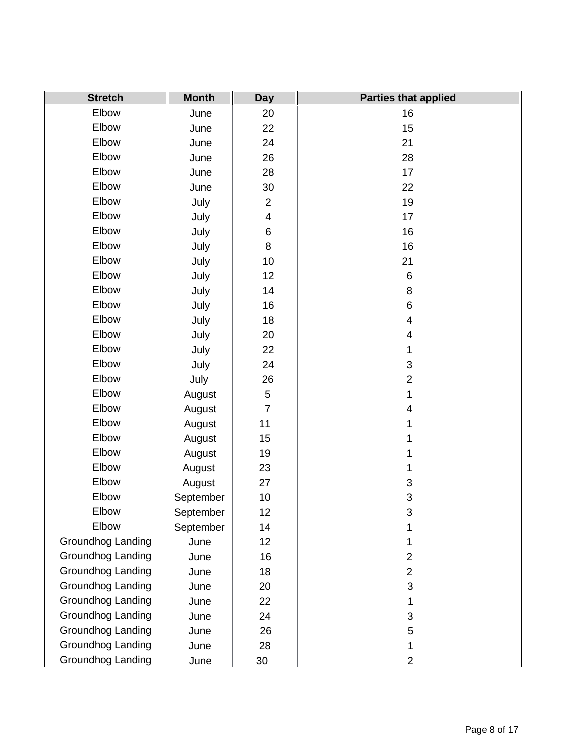| <b>Stretch</b>    | <b>Month</b> | <b>Day</b>               | <b>Parties that applied</b> |
|-------------------|--------------|--------------------------|-----------------------------|
| Elbow             | June         | 20                       | 16                          |
| Elbow             | June         | 22                       | 15                          |
| Elbow             | June         | 24                       | 21                          |
| Elbow             | June         | 26                       | 28                          |
| Elbow             | June         | 28                       | 17                          |
| Elbow             | June         | 30                       | 22                          |
| Elbow             | July         | $\overline{2}$           | 19                          |
| Elbow             | July         | $\overline{\mathcal{A}}$ | 17                          |
| Elbow             | July         | 6                        | 16                          |
| Elbow             | July         | 8                        | 16                          |
| Elbow             | July         | 10                       | 21                          |
| Elbow             | July         | 12                       | 6                           |
| Elbow             | July         | 14                       | 8                           |
| Elbow             | July         | 16                       | 6                           |
| Elbow             | July         | 18                       | $\overline{\mathbf{4}}$     |
| Elbow             | July         | 20                       | 4                           |
| Elbow             | July         | 22                       | 1                           |
| Elbow             | July         | 24                       | 3                           |
| Elbow             | July         | 26                       | $\overline{2}$              |
| Elbow             | August       | 5                        | 1                           |
| Elbow             | August       | $\overline{7}$           | 4                           |
| Elbow             | August       | 11                       | 1                           |
| Elbow             | August       | 15                       | 1                           |
| Elbow             | August       | 19                       | 1                           |
| Elbow             | August       | 23                       | 1                           |
| Elbow             | August       | 27                       | 3                           |
| Elbow             | September    | 10                       | 3                           |
| Elbow             | September    | 12                       | 3                           |
| Elbow             | September    | 14                       | 1                           |
| Groundhog Landing | June         | 12                       | 1                           |
| Groundhog Landing | June         | 16                       | $\overline{2}$              |
| Groundhog Landing | June         | 18                       | $\overline{2}$              |
| Groundhog Landing | June         | 20                       | 3                           |
| Groundhog Landing | June         | 22                       | 1                           |
| Groundhog Landing | June         | 24                       | $\sqrt{3}$                  |
| Groundhog Landing | June         | 26                       | 5                           |
| Groundhog Landing | June         | 28                       | 1                           |
| Groundhog Landing | June         | 30                       | $\overline{2}$              |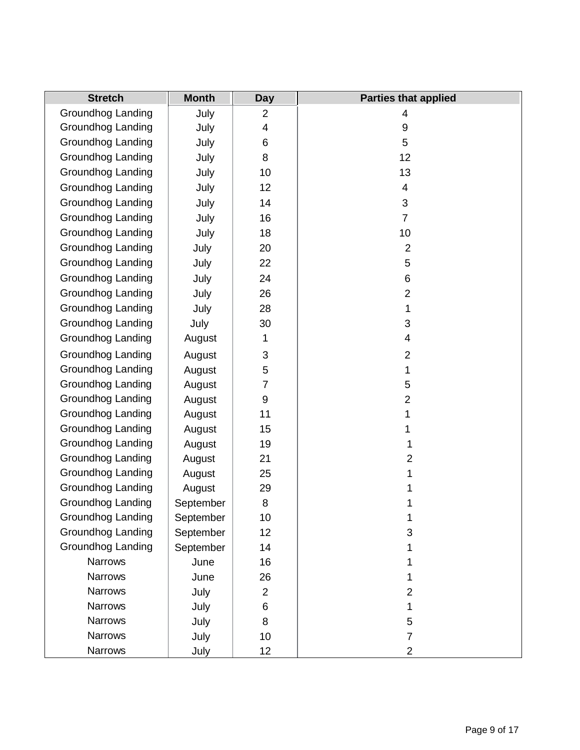| <b>Stretch</b>    | <b>Month</b> | <b>Day</b>       | <b>Parties that applied</b> |
|-------------------|--------------|------------------|-----------------------------|
| Groundhog Landing | July         | $\overline{2}$   | 4                           |
| Groundhog Landing | July         | 4                | $\boldsymbol{9}$            |
| Groundhog Landing | July         | 6                | 5                           |
| Groundhog Landing | July         | 8                | 12                          |
| Groundhog Landing | July         | 10               | 13                          |
| Groundhog Landing | July         | 12               | 4                           |
| Groundhog Landing | July         | 14               | 3                           |
| Groundhog Landing | July         | 16               | $\overline{7}$              |
| Groundhog Landing | July         | 18               | 10                          |
| Groundhog Landing | July         | 20               | $\overline{2}$              |
| Groundhog Landing | July         | 22               | 5                           |
| Groundhog Landing | July         | 24               | 6                           |
| Groundhog Landing | July         | 26               | $\overline{2}$              |
| Groundhog Landing | July         | 28               | 1                           |
| Groundhog Landing | July         | 30               | 3                           |
| Groundhog Landing | August       | 1                | 4                           |
| Groundhog Landing | August       | 3                | $\overline{2}$              |
| Groundhog Landing | August       | 5                | 1                           |
| Groundhog Landing | August       | 7                | 5                           |
| Groundhog Landing | August       | $\boldsymbol{9}$ | $\overline{2}$              |
| Groundhog Landing | August       | 11               | 1                           |
| Groundhog Landing | August       | 15               | 1                           |
| Groundhog Landing | August       | 19               | 1                           |
| Groundhog Landing | August       | 21               | $\overline{2}$              |
| Groundhog Landing | August       | 25               | 1                           |
| Groundhog Landing | August       | 29               | 1                           |
| Groundhog Landing | September    | 8                | 1                           |
| Groundhog Landing | September    | 10               | 1                           |
| Groundhog Landing | September    | 12               | 3                           |
| Groundhog Landing | September    | 14               | 1                           |
| <b>Narrows</b>    | June         | 16               | 1                           |
| <b>Narrows</b>    | June         | 26               | 1                           |
| <b>Narrows</b>    | July         | $\overline{2}$   | $\overline{2}$              |
| Narrows           | July         | 6                | 1                           |
| <b>Narrows</b>    | July         | 8                | 5                           |
| <b>Narrows</b>    | July         | 10               | $\overline{7}$              |
| Narrows           | July         | 12               | $\overline{2}$              |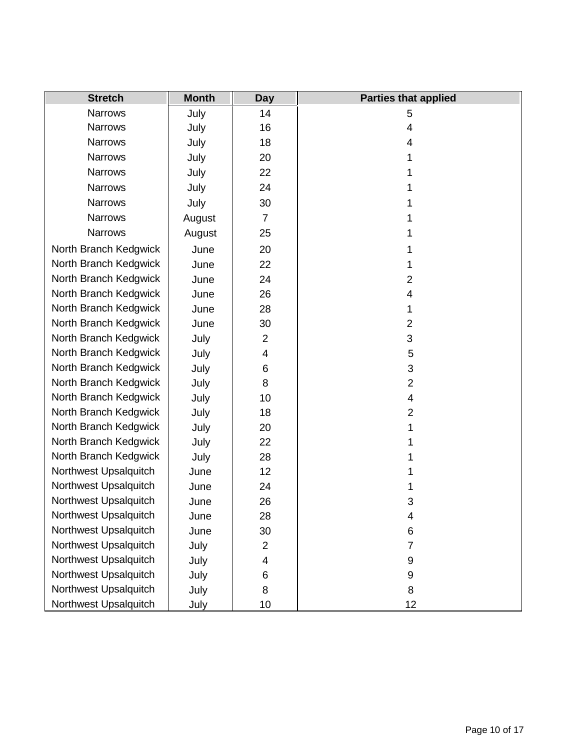| <b>Stretch</b>        | <b>Month</b> | Day            | <b>Parties that applied</b> |
|-----------------------|--------------|----------------|-----------------------------|
| <b>Narrows</b>        | July         | 14             | 5                           |
| <b>Narrows</b>        | July         | 16             | $\overline{\mathbf{4}}$     |
| <b>Narrows</b>        | July         | 18             | 4                           |
| <b>Narrows</b>        | July         | 20             | 1                           |
| <b>Narrows</b>        | July         | 22             | 1                           |
| <b>Narrows</b>        | July         | 24             | 1                           |
| <b>Narrows</b>        | July         | 30             | 1                           |
| <b>Narrows</b>        | August       | $\overline{7}$ | 1                           |
| <b>Narrows</b>        | August       | 25             | 1                           |
| North Branch Kedgwick | June         | 20             | 1                           |
| North Branch Kedgwick | June         | 22             | 1                           |
| North Branch Kedgwick | June         | 24             | $\overline{2}$              |
| North Branch Kedgwick | June         | 26             | 4                           |
| North Branch Kedgwick | June         | 28             | 1                           |
| North Branch Kedgwick | June         | 30             | $\overline{2}$              |
| North Branch Kedgwick | July         | $\overline{2}$ | 3                           |
| North Branch Kedgwick | July         | 4              | 5                           |
| North Branch Kedgwick | July         | 6              | 3                           |
| North Branch Kedgwick | July         | 8              | $\overline{2}$              |
| North Branch Kedgwick | July         | 10             | 4                           |
| North Branch Kedgwick | July         | 18             | $\overline{2}$              |
| North Branch Kedgwick | July         | 20             |                             |
| North Branch Kedgwick | July         | 22             |                             |
| North Branch Kedgwick | July         | 28             |                             |
| Northwest Upsalquitch | June         | 12             |                             |
| Northwest Upsalquitch | June         | 24             |                             |
| Northwest Upsalquitch | June         | 26             | 3                           |
| Northwest Upsalquitch | June         | 28             | 4                           |
| Northwest Upsalquitch | June         | 30             | 6                           |
| Northwest Upsalquitch | July         | $\overline{2}$ | $\overline{7}$              |
| Northwest Upsalquitch | July         | 4              | 9                           |
| Northwest Upsalquitch | July         | 6              | 9                           |
| Northwest Upsalquitch | July         | 8              | 8                           |
| Northwest Upsalquitch | July         | 10             | 12                          |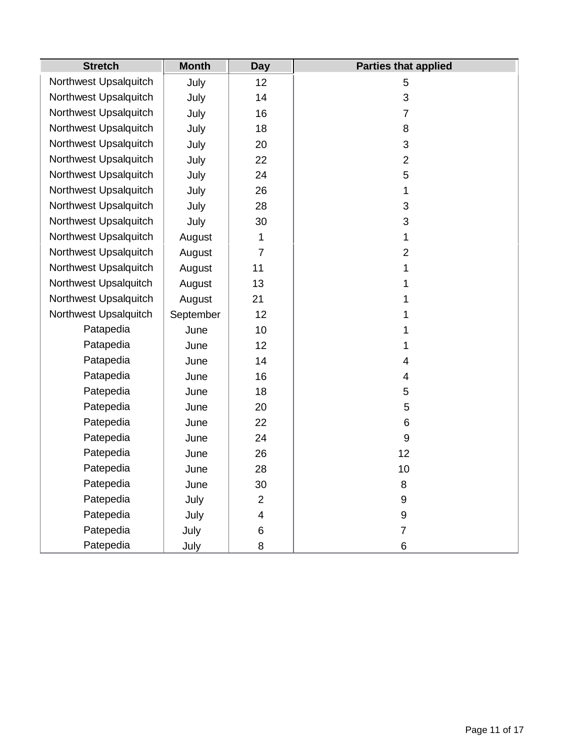| <b>Stretch</b>        | <b>Month</b> | <b>Day</b>               | <b>Parties that applied</b> |
|-----------------------|--------------|--------------------------|-----------------------------|
| Northwest Upsalquitch | July         | 12                       | 5                           |
| Northwest Upsalquitch | July         | 14                       | 3                           |
| Northwest Upsalquitch | July         | 16                       | $\overline{7}$              |
| Northwest Upsalquitch | July         | 18                       | 8                           |
| Northwest Upsalquitch | July         | 20                       | 3                           |
| Northwest Upsalquitch | July         | 22                       | $\overline{2}$              |
| Northwest Upsalquitch | July         | 24                       | 5                           |
| Northwest Upsalquitch | July         | 26                       | 1                           |
| Northwest Upsalquitch | July         | 28                       | 3                           |
| Northwest Upsalquitch | July         | 30                       | 3                           |
| Northwest Upsalquitch | August       | 1                        | $\mathbf{1}$                |
| Northwest Upsalquitch | August       | $\overline{7}$           | $\overline{2}$              |
| Northwest Upsalquitch | August       | 11                       | 1                           |
| Northwest Upsalquitch | August       | 13                       | 1                           |
| Northwest Upsalquitch | August       | 21                       | 1                           |
| Northwest Upsalquitch | September    | 12                       | 1                           |
| Patapedia             | June         | 10                       | 1                           |
| Patapedia             | June         | 12                       | 1                           |
| Patapedia             | June         | 14                       | $\overline{\mathbf{4}}$     |
| Patapedia             | June         | 16                       | 4                           |
| Patepedia             | June         | 18                       | 5                           |
| Patepedia             | June         | 20                       | 5                           |
| Patepedia             | June         | 22                       | 6                           |
| Patepedia             | June         | 24                       | $\boldsymbol{9}$            |
| Patepedia             | June         | 26                       | 12                          |
| Patepedia             | June         | 28                       | 10                          |
| Patepedia             | June         | 30                       | 8                           |
| Patepedia             | July         | $\overline{2}$           | 9                           |
| Patepedia             | July         | $\overline{\mathcal{A}}$ | 9                           |
| Patepedia             | July         | 6                        | $\overline{7}$              |
| Patepedia             | July         | 8                        | 6                           |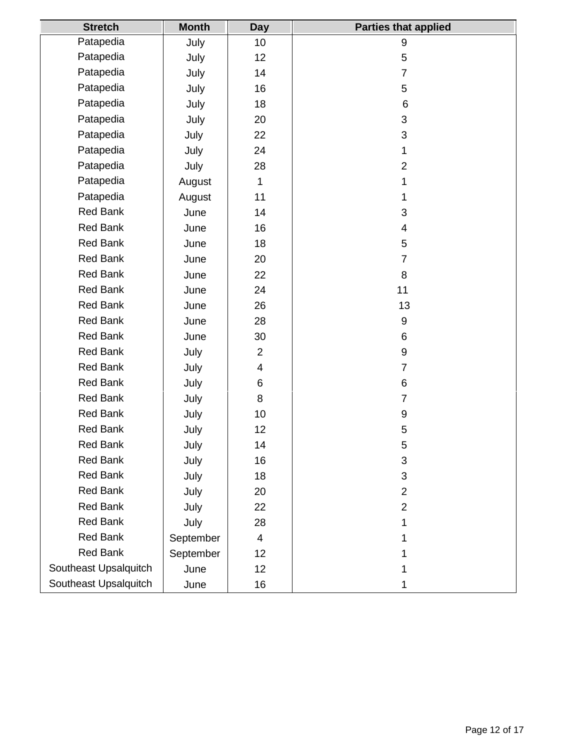| <b>Stretch</b>        | <b>Month</b> | <b>Day</b>     | <b>Parties that applied</b> |
|-----------------------|--------------|----------------|-----------------------------|
| Patapedia             | July         | 10             | 9                           |
| Patapedia             | July         | 12             | 5                           |
| Patapedia             | July         | 14             | $\overline{7}$              |
| Patapedia             | July         | 16             | 5                           |
| Patapedia             | July         | 18             | 6                           |
| Patapedia             | July         | 20             | 3                           |
| Patapedia             | July         | 22             | 3                           |
| Patapedia             | July         | 24             | 1                           |
| Patapedia             | July         | 28             | $\overline{2}$              |
| Patapedia             | August       | $\mathbf{1}$   |                             |
| Patapedia             | August       | 11             | 1                           |
| <b>Red Bank</b>       | June         | 14             | 3                           |
| <b>Red Bank</b>       | June         | 16             | 4                           |
| <b>Red Bank</b>       | June         | 18             | 5                           |
| <b>Red Bank</b>       | June         | 20             | $\overline{7}$              |
| <b>Red Bank</b>       | June         | 22             | 8                           |
| Red Bank              | June         | 24             | 11                          |
| <b>Red Bank</b>       | June         | 26             | 13                          |
| <b>Red Bank</b>       | June         | 28             | 9                           |
| <b>Red Bank</b>       | June         | 30             | 6                           |
| <b>Red Bank</b>       | July         | $\overline{2}$ | 9                           |
| <b>Red Bank</b>       | July         | 4              | $\overline{7}$              |
| <b>Red Bank</b>       | July         | $\,6$          | 6                           |
| <b>Red Bank</b>       | July         | 8              | $\overline{7}$              |
| <b>Red Bank</b>       | July         | 10             | 9                           |
| <b>Red Bank</b>       | July         | 12             | 5                           |
| <b>Red Bank</b>       | July         | 14             | 5                           |
| <b>Red Bank</b>       | July         | 16             | 3                           |
| <b>Red Bank</b>       | July         | 18             | 3                           |
| <b>Red Bank</b>       | July         | 20             | $\overline{2}$              |
| <b>Red Bank</b>       | July         | 22             | $\overline{2}$              |
| <b>Red Bank</b>       | July         | 28             |                             |
| <b>Red Bank</b>       | September    | $\overline{4}$ |                             |
| <b>Red Bank</b>       | September    | 12             |                             |
| Southeast Upsalquitch | June         | 12             |                             |
| Southeast Upsalquitch | June         | 16             |                             |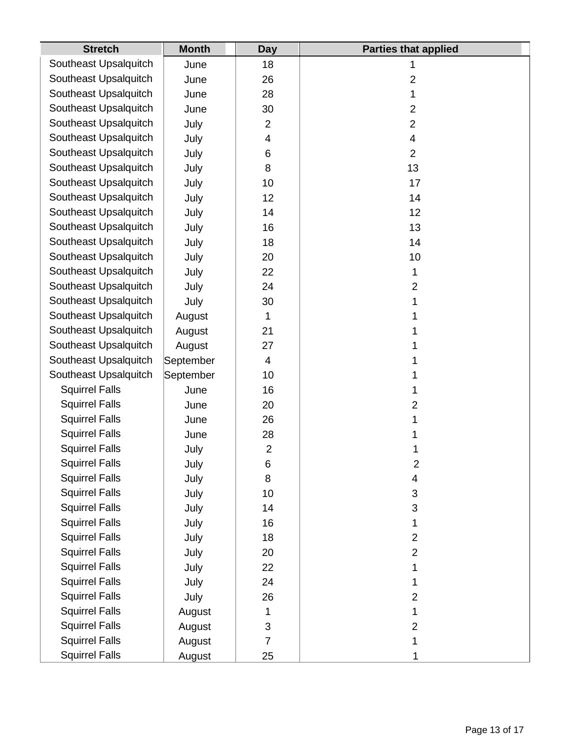| <b>Stretch</b>        | <b>Month</b> | <b>Day</b>     | <b>Parties that applied</b> |
|-----------------------|--------------|----------------|-----------------------------|
| Southeast Upsalquitch | June         | 18             | 1                           |
| Southeast Upsalquitch | June         | 26             | $\overline{2}$              |
| Southeast Upsalquitch | June         | 28             | 1                           |
| Southeast Upsalquitch | June         | 30             | $\overline{2}$              |
| Southeast Upsalquitch | July         | $\overline{2}$ | $\overline{2}$              |
| Southeast Upsalquitch | July         | 4              | 4                           |
| Southeast Upsalquitch | July         | 6              | $\overline{2}$              |
| Southeast Upsalquitch | July         | 8              | 13                          |
| Southeast Upsalquitch | July         | 10             | 17                          |
| Southeast Upsalquitch | July         | 12             | 14                          |
| Southeast Upsalquitch | July         | 14             | 12                          |
| Southeast Upsalquitch | July         | 16             | 13                          |
| Southeast Upsalquitch | July         | 18             | 14                          |
| Southeast Upsalquitch | July         | 20             | 10                          |
| Southeast Upsalquitch | July         | 22             | 1                           |
| Southeast Upsalquitch | July         | 24             | $\overline{2}$              |
| Southeast Upsalquitch | July         | 30             | 1                           |
| Southeast Upsalquitch | August       | 1              | 1                           |
| Southeast Upsalquitch | August       | 21             | 1                           |
| Southeast Upsalquitch | August       | 27             | 1                           |
| Southeast Upsalquitch | September    | 4              | 1                           |
| Southeast Upsalquitch | September    | 10             | 1                           |
| <b>Squirrel Falls</b> | June         | 16             | 1                           |
| <b>Squirrel Falls</b> | June         | 20             | $\overline{2}$              |
| <b>Squirrel Falls</b> | June         | 26             | 1                           |
| <b>Squirrel Falls</b> | June         | 28             | 1                           |
| <b>Squirrel Falls</b> | July         | $\overline{2}$ | 1                           |
| <b>Squirrel Falls</b> | July         | 6              | $\overline{c}$              |
| <b>Squirrel Falls</b> | July         | 8              | 4                           |
| <b>Squirrel Falls</b> | July         | 10             | 3                           |
| <b>Squirrel Falls</b> | July         | 14             | 3                           |
| <b>Squirrel Falls</b> | July         | 16             | 1                           |
| <b>Squirrel Falls</b> | July         | 18             | $\overline{2}$              |
| <b>Squirrel Falls</b> | July         | 20             | $\overline{2}$              |
| <b>Squirrel Falls</b> | July         | 22             | 1                           |
| <b>Squirrel Falls</b> | July         | 24             | 1                           |
| <b>Squirrel Falls</b> | July         | 26             | $\overline{2}$              |
| <b>Squirrel Falls</b> | August       | 1              | 1                           |
| <b>Squirrel Falls</b> | August       | 3              | $\overline{2}$              |
| <b>Squirrel Falls</b> | August       | $\overline{7}$ | 1                           |
| <b>Squirrel Falls</b> | August       | 25             | 1                           |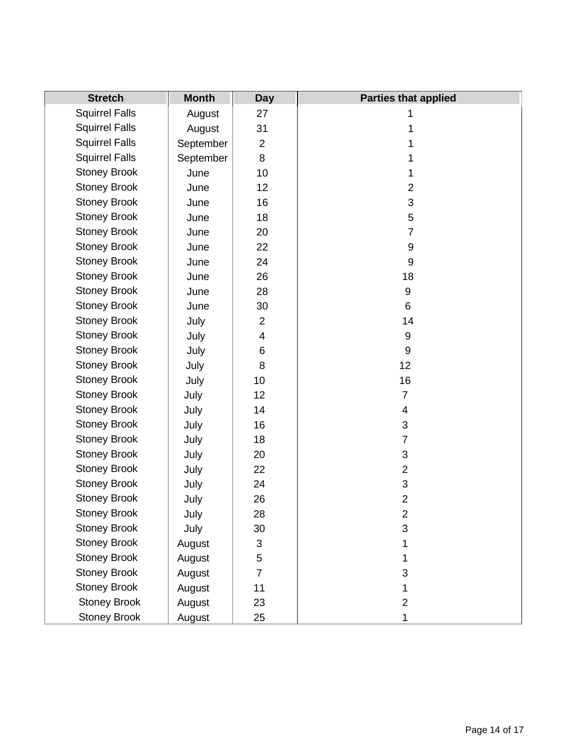| <b>Stretch</b>        | <b>Month</b> | <b>Day</b>     | <b>Parties that applied</b> |
|-----------------------|--------------|----------------|-----------------------------|
| <b>Squirrel Falls</b> | August       | 27             | 1                           |
| <b>Squirrel Falls</b> | August       | 31             |                             |
| <b>Squirrel Falls</b> | September    | $\overline{2}$ | 1                           |
| <b>Squirrel Falls</b> | September    | 8              |                             |
| <b>Stoney Brook</b>   | June         | 10             | 1                           |
| <b>Stoney Brook</b>   | June         | 12             | $\overline{2}$              |
| <b>Stoney Brook</b>   | June         | 16             | 3                           |
| <b>Stoney Brook</b>   | June         | 18             | 5                           |
| <b>Stoney Brook</b>   | June         | 20             | $\overline{7}$              |
| <b>Stoney Brook</b>   | June         | 22             | 9                           |
| <b>Stoney Brook</b>   | June         | 24             | 9                           |
| <b>Stoney Brook</b>   | June         | 26             | 18                          |
| <b>Stoney Brook</b>   | June         | 28             | $\boldsymbol{9}$            |
| <b>Stoney Brook</b>   | June         | 30             | 6                           |
| <b>Stoney Brook</b>   | July         | $\overline{c}$ | 14                          |
| <b>Stoney Brook</b>   | July         | 4              | 9                           |
| <b>Stoney Brook</b>   | July         | 6              | 9                           |
| <b>Stoney Brook</b>   | July         | 8              | 12                          |
| <b>Stoney Brook</b>   | July         | 10             | 16                          |
| <b>Stoney Brook</b>   | July         | 12             | $\overline{7}$              |
| <b>Stoney Brook</b>   | July         | 14             | 4                           |
| <b>Stoney Brook</b>   | July         | 16             | 3                           |
| <b>Stoney Brook</b>   | July         | 18             | $\boldsymbol{7}$            |
| <b>Stoney Brook</b>   | July         | 20             | 3                           |
| <b>Stoney Brook</b>   | July         | 22             | $\overline{2}$              |
| <b>Stoney Brook</b>   | July         | 24             | 3                           |
| <b>Stoney Brook</b>   | July         | 26             | $\overline{c}$              |
| <b>Stoney Brook</b>   | July         | 28             | $\overline{2}$              |
| <b>Stoney Brook</b>   | July         | 30             | 3                           |
| <b>Stoney Brook</b>   | August       | 3              | 1                           |
| <b>Stoney Brook</b>   | August       | 5              | 1                           |
| <b>Stoney Brook</b>   | August       | $\overline{7}$ | 3                           |
| <b>Stoney Brook</b>   | August       | 11             | 1                           |
| <b>Stoney Brook</b>   | August       | 23             | $\mathbf{2}$                |
| <b>Stoney Brook</b>   | August       | 25             | 1                           |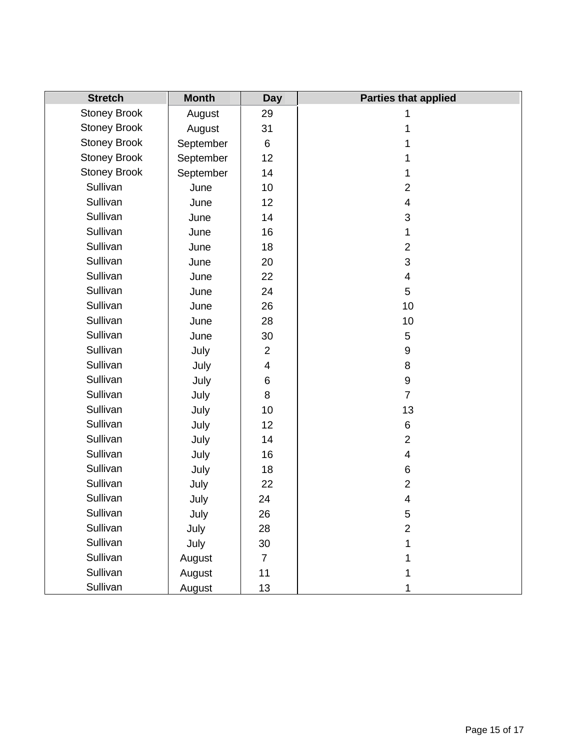| <b>Stretch</b>      | <b>Month</b> | <b>Day</b>              | <b>Parties that applied</b> |
|---------------------|--------------|-------------------------|-----------------------------|
| <b>Stoney Brook</b> | August       | 29                      | 1                           |
| <b>Stoney Brook</b> | August       | 31                      | 1                           |
| <b>Stoney Brook</b> | September    | 6                       | 1                           |
| <b>Stoney Brook</b> | September    | 12                      | 1                           |
| <b>Stoney Brook</b> | September    | 14                      |                             |
| Sullivan            | June         | 10                      | $\overline{2}$              |
| Sullivan            | June         | 12                      | 4                           |
| Sullivan            | June         | 14                      | 3                           |
| Sullivan            | June         | 16                      | 1                           |
| Sullivan            | June         | 18                      | $\overline{2}$              |
| Sullivan            | June         | 20                      | 3                           |
| Sullivan            | June         | 22                      | $\overline{\mathcal{A}}$    |
| Sullivan            | June         | 24                      | 5                           |
| Sullivan            | June         | 26                      | 10                          |
| Sullivan            | June         | 28                      | 10                          |
| Sullivan            | June         | 30                      | 5                           |
| Sullivan            | July         | $\overline{2}$          | 9                           |
| Sullivan            | July         | $\overline{\mathbf{4}}$ | 8                           |
| Sullivan            | July         | 6                       | 9                           |
| Sullivan            | July         | 8                       | $\overline{7}$              |
| Sullivan            | July         | 10                      | 13                          |
| Sullivan            | July         | 12                      | 6                           |
| Sullivan            | July         | 14                      | $\overline{2}$              |
| Sullivan            | July         | 16                      | 4                           |
| Sullivan            | July         | 18                      | 6                           |
| Sullivan            | July         | 22                      | $\overline{2}$              |
| Sullivan            | July         | 24                      | 4                           |
| Sullivan            | July         | 26                      | 5                           |
| Sullivan            | July         | 28                      | $\overline{2}$              |
| Sullivan            | July         | 30                      |                             |
| Sullivan            | August       | $\overline{7}$          |                             |
| Sullivan            | August       | 11                      |                             |
| Sullivan            | August       | 13                      |                             |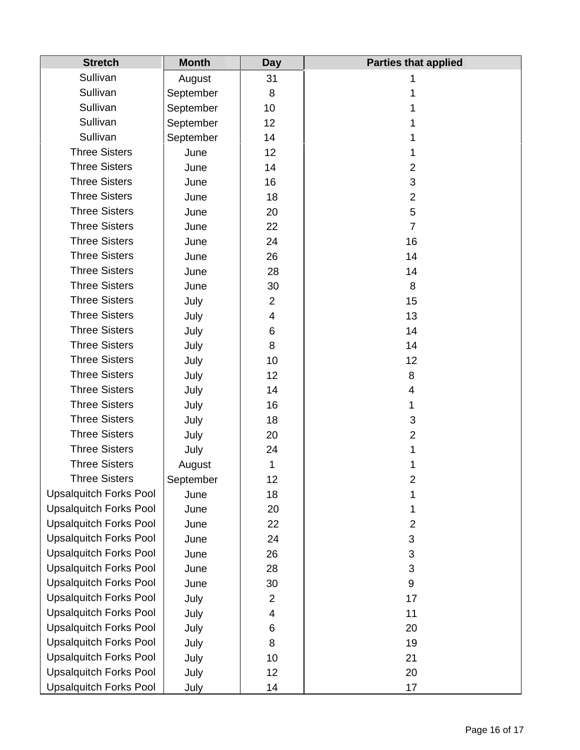| <b>Stretch</b>                | <b>Month</b> | <b>Day</b>     | <b>Parties that applied</b> |
|-------------------------------|--------------|----------------|-----------------------------|
| Sullivan                      | August       | 31             | 1                           |
| Sullivan                      | September    | 8              |                             |
| Sullivan                      | September    | 10             |                             |
| Sullivan                      | September    | 12             | 1                           |
| Sullivan                      | September    | 14             |                             |
| <b>Three Sisters</b>          | June         | 12             |                             |
| <b>Three Sisters</b>          | June         | 14             | $\overline{2}$              |
| <b>Three Sisters</b>          | June         | 16             | 3                           |
| <b>Three Sisters</b>          | June         | 18             | $\overline{2}$              |
| <b>Three Sisters</b>          | June         | 20             | 5                           |
| <b>Three Sisters</b>          | June         | 22             | $\overline{7}$              |
| <b>Three Sisters</b>          | June         | 24             | 16                          |
| <b>Three Sisters</b>          | June         | 26             | 14                          |
| <b>Three Sisters</b>          | June         | 28             | 14                          |
| <b>Three Sisters</b>          | June         | 30             | 8                           |
| <b>Three Sisters</b>          | July         | $\overline{2}$ | 15                          |
| <b>Three Sisters</b>          | July         | 4              | 13                          |
| <b>Three Sisters</b>          | July         | 6              | 14                          |
| <b>Three Sisters</b>          | July         | 8              | 14                          |
| <b>Three Sisters</b>          | July         | 10             | 12                          |
| <b>Three Sisters</b>          | July         | 12             | 8                           |
| <b>Three Sisters</b>          | July         | 14             | 4                           |
| <b>Three Sisters</b>          | July         | 16             |                             |
| <b>Three Sisters</b>          | July         | 18             | 3                           |
| <b>Three Sisters</b>          | July         | 20             | $\overline{2}$              |
| <b>Three Sisters</b>          | July         | 24             |                             |
| <b>Three Sisters</b>          | August       | 1              |                             |
| <b>Three Sisters</b>          | September    | 12             | 2                           |
| <b>Upsalquitch Forks Pool</b> | June         | 18             | 1                           |
| <b>Upsalquitch Forks Pool</b> | June         | 20             | 1                           |
| <b>Upsalquitch Forks Pool</b> | June         | 22             | $\overline{2}$              |
| <b>Upsalquitch Forks Pool</b> | June         | 24             | 3                           |
| <b>Upsalquitch Forks Pool</b> | June         | 26             | 3                           |
| <b>Upsalquitch Forks Pool</b> | June         | 28             | 3                           |
| <b>Upsalquitch Forks Pool</b> | June         | 30             | 9                           |
| <b>Upsalquitch Forks Pool</b> | July         | $\overline{c}$ | 17                          |
| <b>Upsalquitch Forks Pool</b> | July         | 4              | 11                          |
| <b>Upsalquitch Forks Pool</b> | July         | 6              | 20                          |
| <b>Upsalquitch Forks Pool</b> | July         | 8              | 19                          |
| <b>Upsalquitch Forks Pool</b> | July         | 10             | 21                          |
| <b>Upsalquitch Forks Pool</b> | July         | 12             | 20                          |
| <b>Upsalquitch Forks Pool</b> | July         | 14             | 17                          |